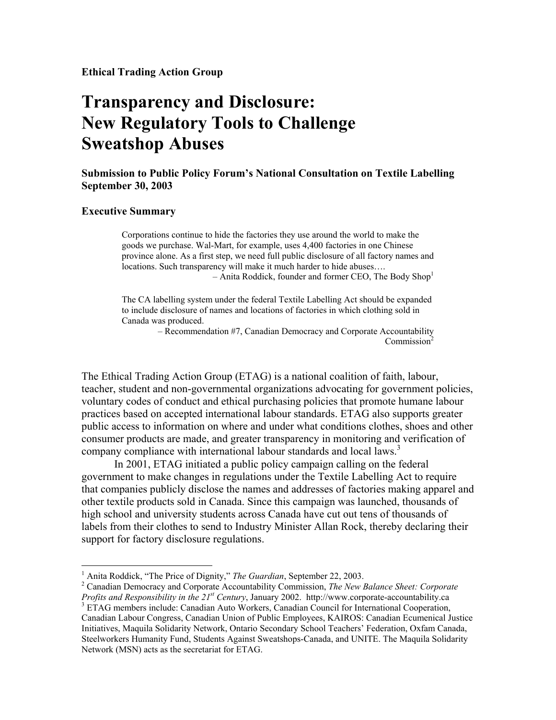## **Transparency and Disclosure: New Regulatory Tools to Challenge Sweatshop Abuses**

**Submission to Public Policy Forum's National Consultation on Textile Labelling September 30, 2003** 

## **Executive Summary**

 $\overline{a}$ 

Corporations continue to hide the factories they use around the world to make the goods we purchase. Wal-Mart, for example, uses 4,400 factories in one Chinese province alone. As a first step, we need full public disclosure of all factory names and locations. Such transparency will make it much harder to hide abuses….  $-$  Anita Roddick, founder and former CEO, The Body Shop<sup>1</sup>

The CA labelling system under the federal Textile Labelling Act should be expanded to include disclosure of names and locations of factories in which clothing sold in Canada was produced.

– Recommendation #7, Canadian Democracy and Corporate Accountability Commission<sup>2</sup>

The Ethical Trading Action Group (ETAG) is a national coalition of faith, labour, teacher, student and non-governmental organizations advocating for government policies, voluntary codes of conduct and ethical purchasing policies that promote humane labour practices based on accepted international labour standards. ETAG also supports greater public access to information on where and under what conditions clothes, shoes and other consumer products are made, and greater transparency in monitoring and verification of company compliance with international labour standards and local laws.<sup>3</sup>

In 2001, ETAG initiated a public policy campaign calling on the federal government to make changes in regulations under the Textile Labelling Act to require that companies publicly disclose the names and addresses of factories making apparel and other textile products sold in Canada. Since this campaign was launched, thousands of high school and university students across Canada have cut out tens of thousands of labels from their clothes to send to Industry Minister Allan Rock, thereby declaring their support for factory disclosure regulations.

<sup>&</sup>lt;sup>1</sup> Anita Roddick, "The Price of Dignity," *The Guardian*, September 22, 2003.<br><sup>2</sup> Conodian Democracy and Corporate Agocuntability Commission. The New I

Canadian Democracy and Corporate Accountability Commission, *The New Balance Sheet: Corporate Profits and Responsibility in the 21st Century*, January 2002. http://www.corporate-accountability.ca 3

<sup>&</sup>lt;sup>3</sup> ETAG members include: Canadian Auto Workers, Canadian Council for International Cooperation, Canadian Labour Congress, Canadian Union of Public Employees, KAIROS: Canadian Ecumenical Justice Initiatives, Maquila Solidarity Network, Ontario Secondary School Teachers' Federation, Oxfam Canada, Steelworkers Humanity Fund, Students Against Sweatshops-Canada, and UNITE. The Maquila Solidarity Network (MSN) acts as the secretariat for ETAG.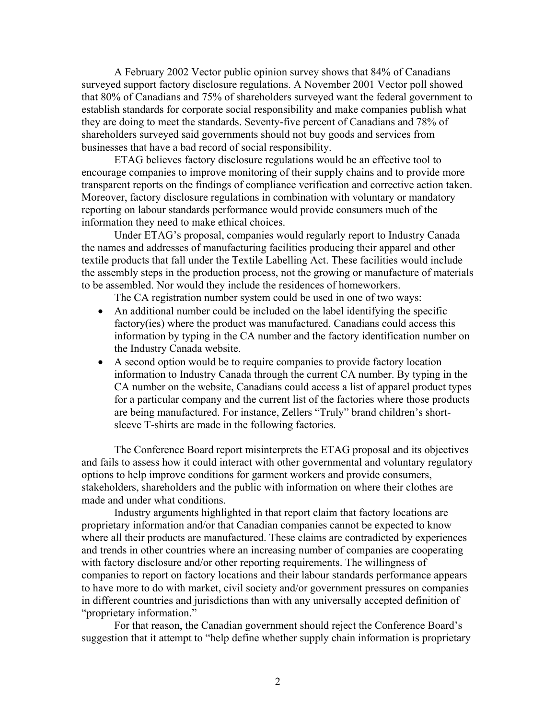A February 2002 Vector public opinion survey shows that 84% of Canadians surveyed support factory disclosure regulations. A November 2001 Vector poll showed that 80% of Canadians and 75% of shareholders surveyed want the federal government to establish standards for corporate social responsibility and make companies publish what they are doing to meet the standards. Seventy-five percent of Canadians and 78% of shareholders surveyed said governments should not buy goods and services from businesses that have a bad record of social responsibility.

ETAG believes factory disclosure regulations would be an effective tool to encourage companies to improve monitoring of their supply chains and to provide more transparent reports on the findings of compliance verification and corrective action taken. Moreover, factory disclosure regulations in combination with voluntary or mandatory reporting on labour standards performance would provide consumers much of the information they need to make ethical choices.

Under ETAG's proposal, companies would regularly report to Industry Canada the names and addresses of manufacturing facilities producing their apparel and other textile products that fall under the Textile Labelling Act. These facilities would include the assembly steps in the production process, not the growing or manufacture of materials to be assembled. Nor would they include the residences of homeworkers.

The CA registration number system could be used in one of two ways:

- An additional number could be included on the label identifying the specific factory(ies) where the product was manufactured. Canadians could access this information by typing in the CA number and the factory identification number on the Industry Canada website.
- A second option would be to require companies to provide factory location information to Industry Canada through the current CA number. By typing in the CA number on the website, Canadians could access a list of apparel product types for a particular company and the current list of the factories where those products are being manufactured. For instance, Zellers "Truly" brand children's shortsleeve T-shirts are made in the following factories.

The Conference Board report misinterprets the ETAG proposal and its objectives and fails to assess how it could interact with other governmental and voluntary regulatory options to help improve conditions for garment workers and provide consumers, stakeholders, shareholders and the public with information on where their clothes are made and under what conditions.

Industry arguments highlighted in that report claim that factory locations are proprietary information and/or that Canadian companies cannot be expected to know where all their products are manufactured. These claims are contradicted by experiences and trends in other countries where an increasing number of companies are cooperating with factory disclosure and/or other reporting requirements. The willingness of companies to report on factory locations and their labour standards performance appears to have more to do with market, civil society and/or government pressures on companies in different countries and jurisdictions than with any universally accepted definition of "proprietary information."

For that reason, the Canadian government should reject the Conference Board's suggestion that it attempt to "help define whether supply chain information is proprietary